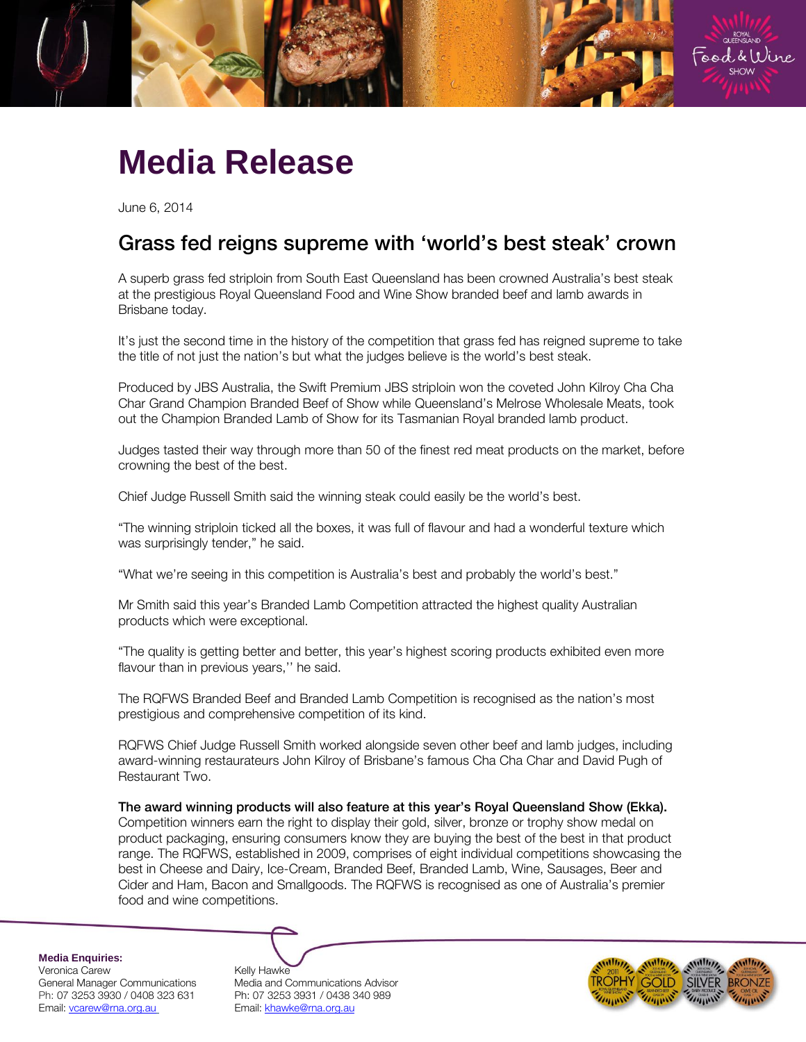

## **Media Release**

June 6, 2014

# Grass fed reigns supreme with 'world's best steak' crown

A superb grass fed striploin from South East Queensland has been crowned Australia's best steak at the prestigious Royal Queensland Food and Wine Show branded beef and lamb awards in Brisbane today.

It's just the second time in the history of the competition that grass fed has reigned supreme to take the title of not just the nation's but what the judges believe is the world's best steak.

Produced by JBS Australia, the Swift Premium JBS striploin won the coveted John Kilroy Cha Cha Char Grand Champion Branded Beef of Show while Queensland's Melrose Wholesale Meats, took out the Champion Branded Lamb of Show for its Tasmanian Royal branded lamb product.

Judges tasted their way through more than 50 of the finest red meat products on the market, before crowning the best of the best.

Chief Judge Russell Smith said the winning steak could easily be the world's best.

"The winning striploin ticked all the boxes, it was full of flavour and had a wonderful texture which was surprisingly tender," he said.

"What we're seeing in this competition is Australia's best and probably the world's best."

Mr Smith said this year's Branded Lamb Competition attracted the highest quality Australian products which were exceptional.

"The quality is getting better and better, this year's highest scoring products exhibited even more flavour than in previous years," he said.

The RQFWS Branded Beef and Branded Lamb Competition is recognised as the nation's most prestigious and comprehensive competition of its kind.

RQFWS Chief Judge Russell Smith worked alongside seven other beef and lamb judges, including award-winning restaurateurs John Kilroy of Brisbane's famous Cha Cha Char and David Pugh of Restaurant Two.

Competition winners earn the right to display their gold, silver, bronze or trophy show medal on product packaging, ensuring consumers know they are buying the best of the best in that product range. The RQFWS, established in 2009, comprises of eight individual competitions showcasing the best in Cheese and Dairy, Ice-Cream, Branded Beef, Branded Lamb, Wine, Sausages, Beer and Cider and Ham, Bacon and Smallgoods. The RQFWS is recognised as one of Australia's premier food and wine competitions.

**Media Enquiries:** Veronica Carew 
Kelly Hawke<br>
General Manager Communications Media and C Email[: vcarew@rna.org.au](mailto:vcarew@rna.org.au) Email: [khawke@rna.org.au](mailto:khawke@rna.org.au)

Media and Communications Advisor Ph: 07 3253 3930 / 0408 323 631 Ph: 07 3253 3931 / 0438 340 989